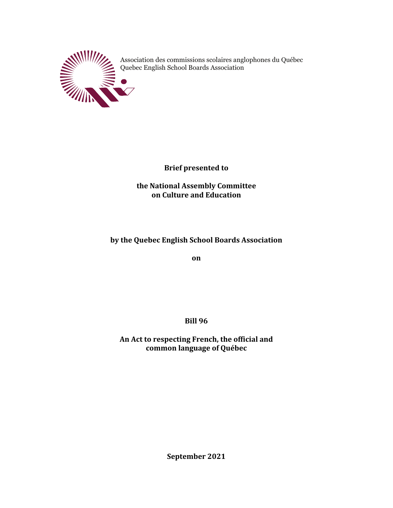

Association des commissions scolaires anglophones du Québec Quebec English School Boards Association

**Brief presented to** 

**the National Assembly Committee on Culture and Education** 

# by the Quebec English School Boards Association

**on**

**Bill 96**

An Act to respecting French, the official and **common language of Québec**

**September 2021**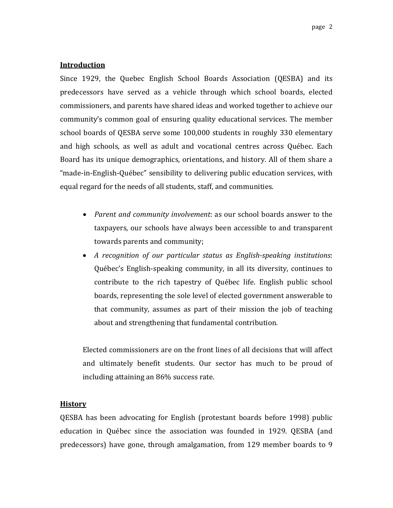# **Introduction**

Since 1929, the Quebec English School Boards Association (QESBA) and its predecessors have served as a vehicle through which school boards, elected commissioners, and parents have shared ideas and worked together to achieve our community's common goal of ensuring quality educational services. The member school boards of QESBA serve some 100,000 students in roughly 330 elementary and high schools, as well as adult and vocational centres across Québec. Each Board has its unique demographics, orientations, and history. All of them share a "made-in-English-Québec" sensibility to delivering public education services, with equal regard for the needs of all students, staff, and communities.

- *Parent and community involvement*: as our school boards answer to the taxpayers, our schools have always been accessible to and transparent towards parents and community;
- *A recognition of our particular status as English-speaking institutions:* Québec's English-speaking community, in all its diversity, continues to contribute to the rich tapestry of Québec life. English public school boards, representing the sole level of elected government answerable to that community, assumes as part of their mission the job of teaching about and strengthening that fundamental contribution.

Elected commissioners are on the front lines of all decisions that will affect and ultimately benefit students. Our sector has much to be proud of including attaining an 86% success rate.

# **History**

QESBA has been advocating for English (protestant boards before 1998) public education in Québec since the association was founded in 1929. QESBA (and predecessors) have gone, through amalgamation, from 129 member boards to 9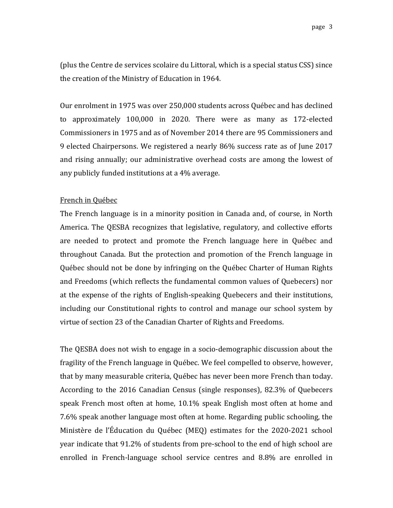(plus the Centre de services scolaire du Littoral, which is a special status CSS) since the creation of the Ministry of Education in 1964.

Our enrolment in 1975 was over 250,000 students across Québec and has declined to approximately 100,000 in 2020. There were as many as 172-elected Commissioners in 1975 and as of November 2014 there are 95 Commissioners and 9 elected Chairpersons. We registered a nearly 86% success rate as of June 2017 and rising annually; our administrative overhead costs are among the lowest of any publicly funded institutions at a 4% average.

#### French in Québec

The French language is in a minority position in Canada and, of course, in North America. The QESBA recognizes that legislative, regulatory, and collective efforts are needed to protect and promote the French language here in Québec and throughout Canada. But the protection and promotion of the French language in Québec should not be done by infringing on the Québec Charter of Human Rights and Freedoms (which reflects the fundamental common values of Quebecers) nor at the expense of the rights of English-speaking Quebecers and their institutions, including our Constitutional rights to control and manage our school system by virtue of section 23 of the Canadian Charter of Rights and Freedoms.

The QESBA does not wish to engage in a socio-demographic discussion about the fragility of the French language in Québec. We feel compelled to observe, however, that by many measurable criteria, Québec has never been more French than today. According to the 2016 Canadian Census (single responses), 82.3% of Quebecers speak French most often at home, 10.1% speak English most often at home and 7.6% speak another language most often at home. Regarding public schooling, the Ministère de l'Éducation du Québec (MEQ) estimates for the 2020-2021 school year indicate that 91.2% of students from pre-school to the end of high school are enrolled in French-language school service centres and 8.8% are enrolled in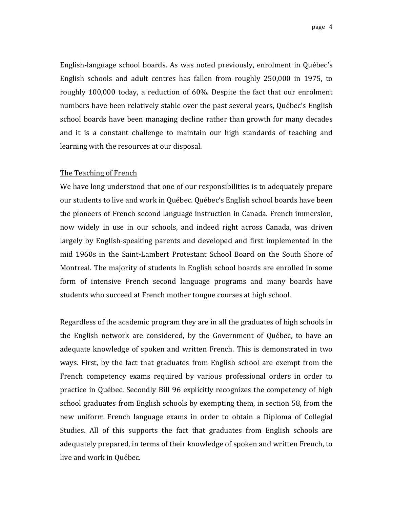English-language school boards. As was noted previously, enrolment in Québec's English schools and adult centres has fallen from roughly 250,000 in 1975, to roughly 100,000 today, a reduction of 60%. Despite the fact that our enrolment numbers have been relatively stable over the past several years, Québec's English school boards have been managing decline rather than growth for many decades and it is a constant challenge to maintain our high standards of teaching and learning with the resources at our disposal.

#### The Teaching of French

We have long understood that one of our responsibilities is to adequately prepare our students to live and work in Québec. Québec's English school boards have been the pioneers of French second language instruction in Canada. French immersion, now widely in use in our schools, and indeed right across Canada, was driven largely by English-speaking parents and developed and first implemented in the mid 1960s in the Saint-Lambert Protestant School Board on the South Shore of Montreal. The majority of students in English school boards are enrolled in some form of intensive French second language programs and many boards have students who succeed at French mother tongue courses at high school.

Regardless of the academic program they are in all the graduates of high schools in the English network are considered, by the Government of Québec, to have an adequate knowledge of spoken and written French. This is demonstrated in two ways. First, by the fact that graduates from English school are exempt from the French competency exams required by various professional orders in order to practice in Québec. Secondly Bill 96 explicitly recognizes the competency of high school graduates from English schools by exempting them, in section 58, from the new uniform French language exams in order to obtain a Diploma of Collegial Studies. All of this supports the fact that graduates from English schools are adequately prepared, in terms of their knowledge of spoken and written French, to live and work in Québec.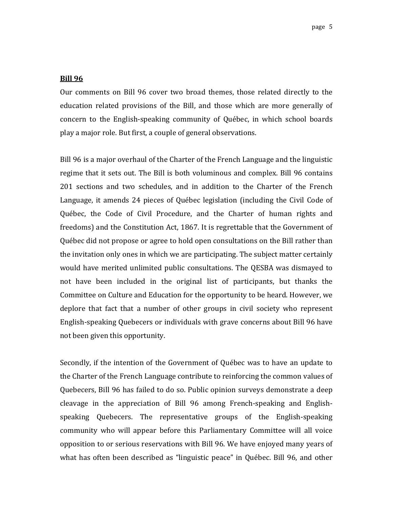#### **Bill 96**

Our comments on Bill 96 cover two broad themes, those related directly to the education related provisions of the Bill, and those which are more generally of concern to the English-speaking community of Québec, in which school boards play a major role. But first, a couple of general observations.

Bill 96 is a major overhaul of the Charter of the French Language and the linguistic regime that it sets out. The Bill is both voluminous and complex. Bill 96 contains 201 sections and two schedules, and in addition to the Charter of the French Language, it amends  $24$  pieces of Québec legislation (including the Civil Code of Québec, the Code of Civil Procedure, and the Charter of human rights and freedoms) and the Constitution Act, 1867. It is regrettable that the Government of Québec did not propose or agree to hold open consultations on the Bill rather than the invitation only ones in which we are participating. The subject matter certainly would have merited unlimited public consultations. The QESBA was dismayed to not have been included in the original list of participants, but thanks the Committee on Culture and Education for the opportunity to be heard. However, we deplore that fact that a number of other groups in civil society who represent English-speaking Quebecers or individuals with grave concerns about Bill 96 have not been given this opportunity.

Secondly, if the intention of the Government of Québec was to have an update to the Charter of the French Language contribute to reinforcing the common values of Quebecers, Bill 96 has failed to do so. Public opinion surveys demonstrate a deep cleavage in the appreciation of Bill  $96$  among French-speaking and Englishspeaking Quebecers. The representative groups of the English-speaking community who will appear before this Parliamentary Committee will all voice opposition to or serious reservations with Bill 96. We have enjoyed many years of what has often been described as "linguistic peace" in Québec. Bill 96, and other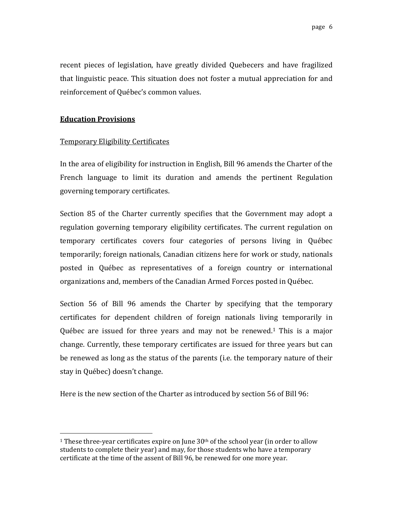recent pieces of legislation, have greatly divided Quebecers and have fragilized that linguistic peace. This situation does not foster a mutual appreciation for and reinforcement of Québec's common values.

## **Education Provisions**

## **Temporary Eligibility Certificates**

In the area of eligibility for instruction in English, Bill 96 amends the Charter of the French language to limit its duration and amends the pertinent Regulation governing temporary certificates.

Section 85 of the Charter currently specifies that the Government may adopt a regulation governing temporary eligibility certificates. The current regulation on temporary certificates covers four categories of persons living in Québec temporarily; foreign nationals, Canadian citizens here for work or study, nationals posted in Québec as representatives of a foreign country or international organizations and, members of the Canadian Armed Forces posted in Québec.

Section 56 of Bill 96 amends the Charter by specifying that the temporary certificates for dependent children of foreign nationals living temporarily in Québec are issued for three years and may not be renewed.<sup>1</sup> This is a major change. Currently, these temporary certificates are issued for three years but can be renewed as long as the status of the parents (i.e. the temporary nature of their stay in Québec) doesn't change.

Here is the new section of the Charter as introduced by section 56 of Bill 96:

<sup>&</sup>lt;sup>1</sup> These three-year certificates expire on June  $30<sup>th</sup>$  of the school year (in order to allow students to complete their year) and may, for those students who have a temporary certificate at the time of the assent of Bill 96, be renewed for one more year.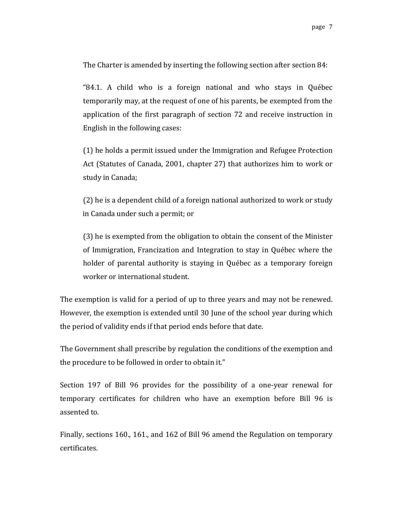The Charter is amended by inserting the following section after section 84:

"84.1. A child who is a foreign national and who stays in Québec temporarily may, at the request of one of his parents, be exempted from the application of the first paragraph of section 72 and receive instruction in English in the following cases:

 $(1)$  he holds a permit issued under the Immigration and Refugee Protection Act (Statutes of Canada, 2001, chapter 27) that authorizes him to work or study in Canada;

(2) he is a dependent child of a foreign national authorized to work or study in Canada under such a permit; or

(3) he is exempted from the obligation to obtain the consent of the Minister of Immigration, Francization and Integration to stay in Québec where the holder of parental authority is staying in Québec as a temporary foreign worker or international student.

The exemption is valid for a period of up to three years and may not be renewed. However, the exemption is extended until 30 June of the school year during which the period of validity ends if that period ends before that date.

The Government shall prescribe by regulation the conditions of the exemption and the procedure to be followed in order to obtain it."

Section 197 of Bill 96 provides for the possibility of a one-year renewal for temporary certificates for children who have an exemption before Bill 96 is assented to.

Finally, sections 160., 161., and 162 of Bill 96 amend the Regulation on temporary certificates.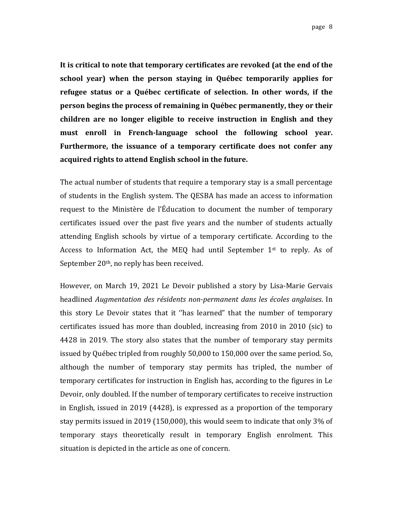It is critical to note that temporary certificates are revoked (at the end of the **school** year) when the person staying in Québec temporarily applies for refugee status or a Québec certificate of selection. In other words, if the **person begins the process of remaining in Québec permanently, they or their children are no longer eligible to receive instruction in English and they must enroll in French-language school the following school year.** Furthermore, the issuance of a temporary certificate does not confer any **acquired rights to attend English school in the future.**

The actual number of students that require a temporary stay is a small percentage of students in the English system. The QESBA has made an access to information request to the Ministère de l'Éducation to document the number of temporary certificates issued over the past five years and the number of students actually attending English schools by virtue of a temporary certificate. According to the Access to Information Act, the MEQ had until September  $1<sup>st</sup>$  to reply. As of September  $20<sup>th</sup>$ , no reply has been received.

However, on March 19, 2021 Le Devoir published a story by Lisa-Marie Gervais headlined *Augmentation des résidents non-permanent dans les écoles anglaises*. In this story Le Devoir states that it "has learned" that the number of temporary certificates issued has more than doubled, increasing from  $2010$  in  $2010$  (sic) to 4428 in 2019. The story also states that the number of temporary stay permits issued by Québec tripled from roughly 50,000 to 150,000 over the same period. So, although the number of temporary stay permits has tripled, the number of temporary certificates for instruction in English has, according to the figures in Le Devoir, only doubled. If the number of temporary certificates to receive instruction in English, issued in 2019 (4428), is expressed as a proportion of the temporary stay permits issued in 2019 (150,000), this would seem to indicate that only 3% of temporary stays theoretically result in temporary English enrolment. This situation is depicted in the article as one of concern.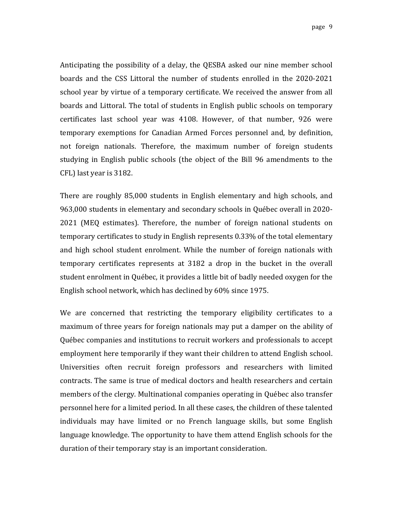Anticipating the possibility of a delay, the QESBA asked our nine member school boards and the CSS Littoral the number of students enrolled in the 2020-2021 school year by virtue of a temporary certificate. We received the answer from all boards and Littoral. The total of students in English public schools on temporary certificates last school year was 4108. However, of that number, 926 were temporary exemptions for Canadian Armed Forces personnel and, by definition, not foreign nationals. Therefore, the maximum number of foreign students studying in English public schools (the object of the Bill 96 amendments to the CFL) last year is 3182.

There are roughly 85,000 students in English elementary and high schools, and 963,000 students in elementary and secondary schools in Québec overall in 2020-2021 (MEO estimates). Therefore, the number of foreign national students on temporary certificates to study in English represents 0.33% of the total elementary and high school student enrolment. While the number of foreign nationals with temporary certificates represents at 3182 a drop in the bucket in the overall student enrolment in Québec, it provides a little bit of badly needed oxygen for the English school network, which has declined by 60% since 1975.

We are concerned that restricting the temporary eligibility certificates to a maximum of three years for foreign nationals may put a damper on the ability of Québec companies and institutions to recruit workers and professionals to accept employment here temporarily if they want their children to attend English school. Universities often recruit foreign professors and researchers with limited contracts. The same is true of medical doctors and health researchers and certain members of the clergy. Multinational companies operating in Québec also transfer personnel here for a limited period. In all these cases, the children of these talented individuals may have limited or no French language skills, but some English language knowledge. The opportunity to have them attend English schools for the duration of their temporary stay is an important consideration.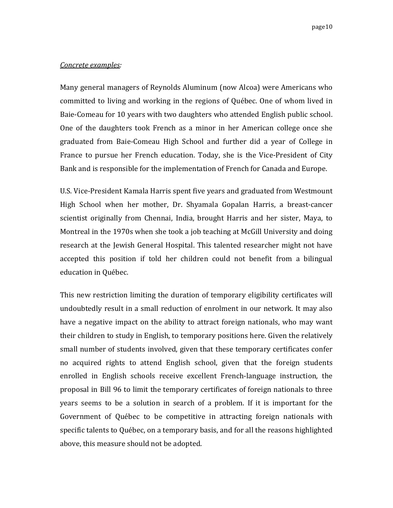#### *Concrete examples:*

Many general managers of Reynolds Aluminum (now Alcoa) were Americans who committed to living and working in the regions of Québec. One of whom lived in Baie-Comeau for 10 years with two daughters who attended English public school. One of the daughters took French as a minor in her American college once she graduated from Baie-Comeau High School and further did a year of College in France to pursue her French education. Today, she is the Vice-President of City Bank and is responsible for the implementation of French for Canada and Europe.

U.S. Vice-President Kamala Harris spent five years and graduated from Westmount High School when her mother, Dr. Shyamala Gopalan Harris, a breast-cancer scientist originally from Chennai, India, brought Harris and her sister, Maya, to Montreal in the 1970s when she took a job teaching at McGill University and doing research at the Jewish General Hospital. This talented researcher might not have accepted this position if told her children could not benefit from a bilingual education in Québec.

This new restriction limiting the duration of temporary eligibility certificates will undoubtedly result in a small reduction of enrolment in our network. It may also have a negative impact on the ability to attract foreign nationals, who may want their children to study in English, to temporary positions here. Given the relatively small number of students involved, given that these temporary certificates confer no acquired rights to attend English school, given that the foreign students enrolled in English schools receive excellent French-language instruction, the proposal in Bill 96 to limit the temporary certificates of foreign nationals to three years seems to be a solution in search of a problem. If it is important for the Government of Québec to be competitive in attracting foreign nationals with specific talents to Québec, on a temporary basis, and for all the reasons highlighted above, this measure should not be adopted.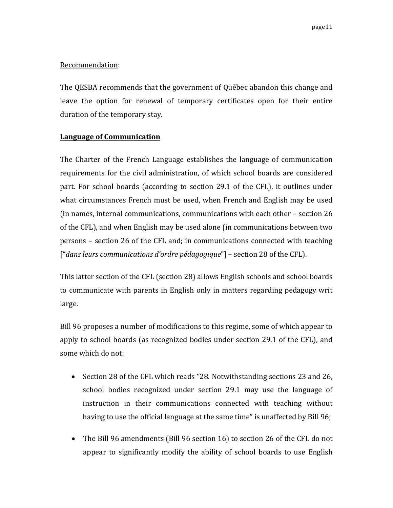# Recommendation:

The QESBA recommends that the government of Québec abandon this change and leave the option for renewal of temporary certificates open for their entire duration of the temporary stay.

# **Language of Communication**

The Charter of the French Language establishes the language of communication requirements for the civil administration, of which school boards are considered part. For school boards (according to section 29.1 of the CFL), it outlines under what circumstances French must be used, when French and English may be used (in names, internal communications, communications with each other  $-$  section 26 of the CFL), and when English may be used alone (in communications between two persons – section 26 of the CFL and; in communications connected with teaching ["*dans leurs communications d'ordre pédagogique*"] – section 28 of the CFL).

This latter section of the CFL (section 28) allows English schools and school boards to communicate with parents in English only in matters regarding pedagogy writ large.

Bill 96 proposes a number of modifications to this regime, some of which appear to apply to school boards (as recognized bodies under section 29.1 of the CFL), and some which do not:

- Section 28 of the CFL which reads "28. Notwithstanding sections 23 and 26, school bodies recognized under section 29.1 may use the language of instruction in their communications connected with teaching without having to use the official language at the same time" is unaffected by Bill 96;
- The Bill 96 amendments (Bill 96 section 16) to section 26 of the CFL do not appear to significantly modify the ability of school boards to use English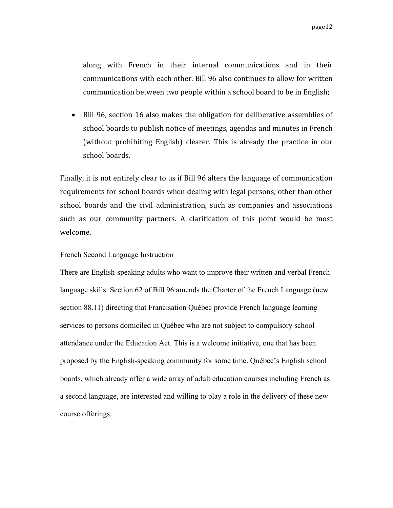along with French in their internal communications and in their communications with each other. Bill 96 also continues to allow for written communication between two people within a school board to be in English;

• Bill 96, section 16 also makes the obligation for deliberative assemblies of school boards to publish notice of meetings, agendas and minutes in French (without prohibiting English) clearer. This is already the practice in our school boards.

Finally, it is not entirely clear to us if Bill 96 alters the language of communication requirements for school boards when dealing with legal persons, other than other school boards and the civil administration, such as companies and associations such as our community partners. A clarification of this point would be most welcome.

#### French Second Language Instruction

There are English-speaking adults who want to improve their written and verbal French language skills. Section 62 of Bill 96 amends the Charter of the French Language (new section 88.11) directing that Francisation Québec provide French language learning services to persons domiciled in Québec who are not subject to compulsory school attendance under the Education Act. This is a welcome initiative, one that has been proposed by the English-speaking community for some time. Québec's English school boards, which already offer a wide array of adult education courses including French as a second language, are interested and willing to play a role in the delivery of these new course offerings.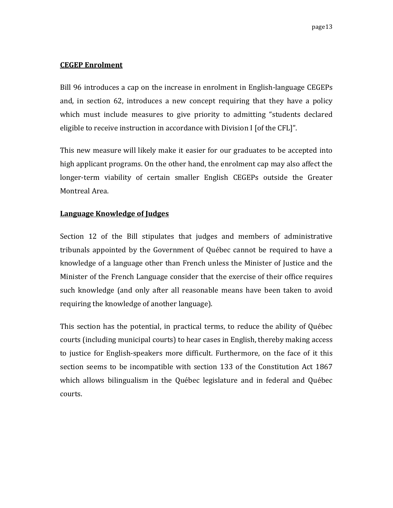### **CEGEP Enrolment**

Bill 96 introduces a cap on the increase in enrolment in English-language CEGEPs and, in section 62, introduces a new concept requiring that they have a policy which must include measures to give priority to admitting "students declared eligible to receive instruction in accordance with Division I [of the CFL]".

This new measure will likely make it easier for our graduates to be accepted into high applicant programs. On the other hand, the enrolment cap may also affect the longer-term viability of certain smaller English CEGEPs outside the Greater Montreal Area.

# **Language Knowledge of Judges**

Section 12 of the Bill stipulates that judges and members of administrative tribunals appointed by the Government of Québec cannot be required to have a knowledge of a language other than French unless the Minister of Justice and the Minister of the French Language consider that the exercise of their office requires such knowledge (and only after all reasonable means have been taken to avoid requiring the knowledge of another language).

This section has the potential, in practical terms, to reduce the ability of Québec courts (including municipal courts) to hear cases in English, thereby making access to justice for English-speakers more difficult. Furthermore, on the face of it this section seems to be incompatible with section 133 of the Constitution Act 1867 which allows bilingualism in the Québec legislature and in federal and Québec courts.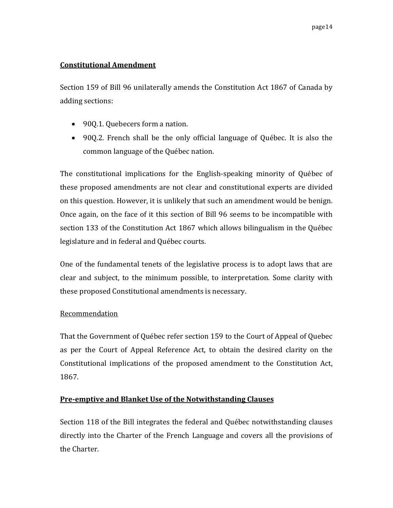# **Constitutional Amendment**

Section 159 of Bill 96 unilaterally amends the Constitution Act 1867 of Canada by adding sections:

- 90Q.1. Quebecers form a nation.
- 900.2. French shall be the only official language of Québec. It is also the common language of the Québec nation.

The constitutional implications for the English-speaking minority of Québec of these proposed amendments are not clear and constitutional experts are divided on this question. However, it is unlikely that such an amendment would be benign. Once again, on the face of it this section of Bill 96 seems to be incompatible with section 133 of the Constitution Act 1867 which allows bilingualism in the Québec legislature and in federal and Québec courts.

One of the fundamental tenets of the legislative process is to adopt laws that are clear and subject, to the minimum possible, to interpretation. Some clarity with these proposed Constitutional amendments is necessary.

# Recommendation

That the Government of Québec refer section 159 to the Court of Appeal of Quebec as per the Court of Appeal Reference Act, to obtain the desired clarity on the Constitutional implications of the proposed amendment to the Constitution Act, 1867.

# **Pre-emptive and Blanket Use of the Notwithstanding Clauses**

Section 118 of the Bill integrates the federal and Québec notwithstanding clauses directly into the Charter of the French Language and covers all the provisions of the Charter.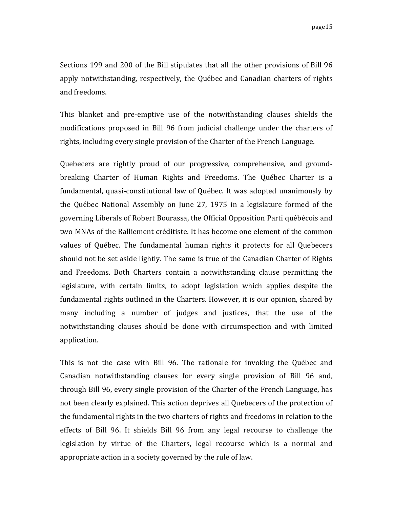Sections 199 and 200 of the Bill stipulates that all the other provisions of Bill 96 apply notwithstanding, respectively, the Québec and Canadian charters of rights and freedoms.

This blanket and pre-emptive use of the notwithstanding clauses shields the modifications proposed in Bill 96 from judicial challenge under the charters of rights, including every single provision of the Charter of the French Language.

Quebecers are rightly proud of our progressive, comprehensive, and groundbreaking Charter of Human Rights and Freedoms. The Québec Charter is a fundamental, quasi-constitutional law of Québec. It was adopted unanimously by the Québec National Assembly on June 27, 1975 in a legislature formed of the governing Liberals of Robert Bourassa, the Official Opposition Parti québécois and two MNAs of the Ralliement créditiste. It has become one element of the common values of Québec. The fundamental human rights it protects for all Quebecers should not be set aside lightly. The same is true of the Canadian Charter of Rights and Freedoms. Both Charters contain a notwithstanding clause permitting the legislature, with certain limits, to adopt legislation which applies despite the fundamental rights outlined in the Charters. However, it is our opinion, shared by many including a number of judges and justices, that the use of the notwithstanding clauses should be done with circumspection and with limited application.

This is not the case with Bill 96. The rationale for invoking the Québec and Canadian notwithstanding clauses for every single provision of Bill 96 and, through Bill 96, every single provision of the Charter of the French Language, has not been clearly explained. This action deprives all Quebecers of the protection of the fundamental rights in the two charters of rights and freedoms in relation to the effects of Bill 96. It shields Bill 96 from any legal recourse to challenge the legislation by virtue of the Charters, legal recourse which is a normal and appropriate action in a society governed by the rule of law.